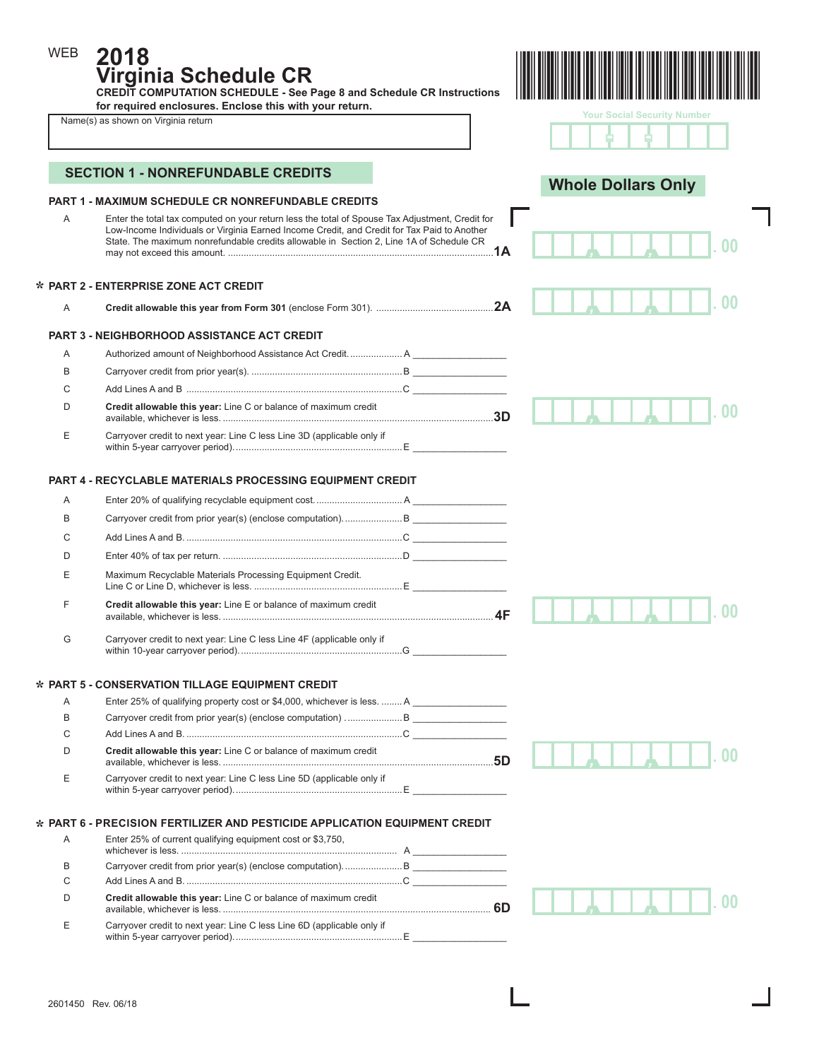**2018 Virginia Schedule CR** 

**CREDIT COMPUTATION SCHEDULE - See Page 8 and Schedule CR Instructions for required enclosures. Enclose this with your return.** 

WEB



|   | for required enclosures. Enclose this with your return.<br>Name(s) as shown on Virginia return                                                                                                                                                                                            |  | <b>Your Social Security Number</b> |    |
|---|-------------------------------------------------------------------------------------------------------------------------------------------------------------------------------------------------------------------------------------------------------------------------------------------|--|------------------------------------|----|
|   |                                                                                                                                                                                                                                                                                           |  |                                    |    |
|   | <b>SECTION 1 - NONREFUNDABLE CREDITS</b>                                                                                                                                                                                                                                                  |  |                                    |    |
|   | <b>PART 1 - MAXIMUM SCHEDULE CR NONREFUNDABLE CREDITS</b>                                                                                                                                                                                                                                 |  | <b>Whole Dollars Only</b>          |    |
| Α | Enter the total tax computed on your return less the total of Spouse Tax Adjustment, Credit for<br>Low-Income Individuals or Virginia Earned Income Credit, and Credit for Tax Paid to Another<br>State. The maximum nonrefundable credits allowable in Section 2. Line 1A of Schedule CR |  |                                    |    |
|   | * PART 2 - ENTERPRISE ZONE ACT CREDIT                                                                                                                                                                                                                                                     |  |                                    |    |
| A |                                                                                                                                                                                                                                                                                           |  |                                    | 00 |
|   | <b>PART 3 - NEIGHBORHOOD ASSISTANCE ACT CREDIT</b>                                                                                                                                                                                                                                        |  |                                    |    |
| A |                                                                                                                                                                                                                                                                                           |  |                                    |    |
| B |                                                                                                                                                                                                                                                                                           |  |                                    |    |
| C |                                                                                                                                                                                                                                                                                           |  |                                    |    |
| D | Credit allowable this year: Line C or balance of maximum credit                                                                                                                                                                                                                           |  |                                    | იი |
| Ε | Carryover credit to next year: Line C less Line 3D (applicable only if                                                                                                                                                                                                                    |  |                                    |    |
|   | <b>PART 4 - RECYCLABLE MATERIALS PROCESSING EQUIPMENT CREDIT</b>                                                                                                                                                                                                                          |  |                                    |    |
| A |                                                                                                                                                                                                                                                                                           |  |                                    |    |
| B |                                                                                                                                                                                                                                                                                           |  |                                    |    |
| C |                                                                                                                                                                                                                                                                                           |  |                                    |    |
| D |                                                                                                                                                                                                                                                                                           |  |                                    |    |
| Ε | Maximum Recyclable Materials Processing Equipment Credit.                                                                                                                                                                                                                                 |  |                                    |    |
| F | Credit allowable this year: Line E or balance of maximum credit                                                                                                                                                                                                                           |  |                                    |    |
| G | Carryover credit to next year: Line C less Line 4F (applicable only if                                                                                                                                                                                                                    |  |                                    |    |
|   | * PART 5 - CONSERVATION TILLAGE EQUIPMENT CREDIT                                                                                                                                                                                                                                          |  |                                    |    |
| Α | Enter 25% of qualifying property cost or \$4,000, whichever is less.  A                                                                                                                                                                                                                   |  |                                    |    |
| В |                                                                                                                                                                                                                                                                                           |  |                                    |    |
| C |                                                                                                                                                                                                                                                                                           |  |                                    |    |
| D | Credit allowable this year: Line C or balance of maximum credit                                                                                                                                                                                                                           |  |                                    |    |
| Ε | Carryover credit to next year: Line C less Line 5D (applicable only if                                                                                                                                                                                                                    |  |                                    |    |
|   | * PART 6 - PRECISION FERTILIZER AND PESTICIDE APPLICATION EQUIPMENT CREDIT                                                                                                                                                                                                                |  |                                    |    |
| Α | Enter 25% of current qualifying equipment cost or \$3,750,                                                                                                                                                                                                                                |  |                                    |    |
| B |                                                                                                                                                                                                                                                                                           |  |                                    |    |
| C |                                                                                                                                                                                                                                                                                           |  |                                    |    |
| D | Credit allowable this year: Line C or balance of maximum credit                                                                                                                                                                                                                           |  |                                    |    |

E Carryover credit to next year: Line C less Line 6D (applicable only if

within 5-year carryover period). ................................................................E \_\_\_\_\_\_\_\_\_\_\_\_\_\_\_\_\_\_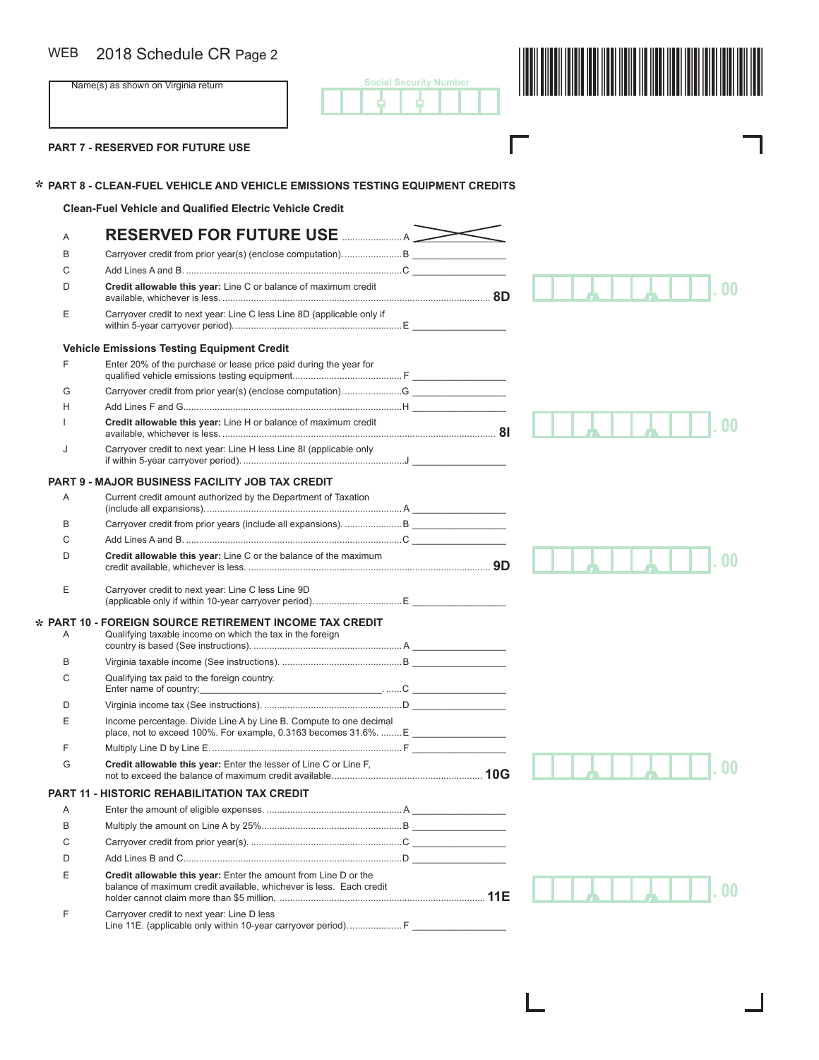### WEB

B 2018 Schedule CR Page 2<br>Name(s) as shown on Virginia return **2008** Social Security Number **2009** Social Security Number **2009 Social Security Number** - -

Г

I

ı

**PART 7 - RESERVED FOR FUTURE USE** 

**\***

# **PART 8 - CLEAN-FUEL VEHICLE AND VEHICLE EMISSIONS TESTING EQUIPMENT CREDITS \***

**Clean-Fuel Vehicle and Qualified Electric Vehicle Credit** 

| Α                       | RESERVED FOR FUTURE USE MANUSCHLING                                                                                                    |    |
|-------------------------|----------------------------------------------------------------------------------------------------------------------------------------|----|
| B                       |                                                                                                                                        |    |
| C                       |                                                                                                                                        |    |
| D                       | Credit allowable this year: Line C or balance of maximum credit                                                                        |    |
| Ε                       | Carryover credit to next year: Line C less Line 8D (applicable only if                                                                 |    |
|                         | <b>Vehicle Emissions Testing Equipment Credit</b>                                                                                      |    |
| F                       | Enter 20% of the purchase or lease price paid during the year for                                                                      |    |
| G                       |                                                                                                                                        |    |
| Н                       |                                                                                                                                        |    |
|                         | Credit allowable this year: Line H or balance of maximum credit                                                                        |    |
| J                       | Carryover credit to next year: Line H less Line 8I (applicable only                                                                    |    |
|                         | <b>PART 9 - MAJOR BUSINESS FACILITY JOB TAX CREDIT</b>                                                                                 |    |
| A                       | Current credit amount authorized by the Department of Taxation                                                                         |    |
| В                       |                                                                                                                                        |    |
| C                       |                                                                                                                                        |    |
| D                       | Credit allowable this year: Line C or the balance of the maximum                                                                       | 00 |
| Е                       | Carryover credit to next year: Line C less Line 9D                                                                                     |    |
| PART <sub>10</sub><br>Α | <b>FOREIGN SOURCE RETIREMENT INCOME TAX CREDIT</b><br>Qualifying taxable income on which the tax in the foreign                        |    |
| B                       |                                                                                                                                        |    |
| C                       | Qualifying tax paid to the foreign country.                                                                                            |    |
| D                       |                                                                                                                                        |    |
| Ε                       | Income percentage. Divide Line A by Line B. Compute to one decimal                                                                     |    |
| F                       |                                                                                                                                        |    |
| G                       | Credit allowable this year: Enter the lesser of Line C or Line F,                                                                      |    |
| <b>PART 11</b>          | - HISTORIC REHABILITATION TAX CREDIT                                                                                                   |    |
| A                       |                                                                                                                                        |    |
| B                       |                                                                                                                                        |    |
| C                       |                                                                                                                                        |    |
| D                       |                                                                                                                                        |    |
| Е                       | Credit allowable this year: Enter the amount from Line D or the<br>balance of maximum credit available, whichever is less. Each credit |    |
| F                       | Carryover credit to next year: Line D less<br>Line 11E. (applicable only within 10-year carryover period).  F                          |    |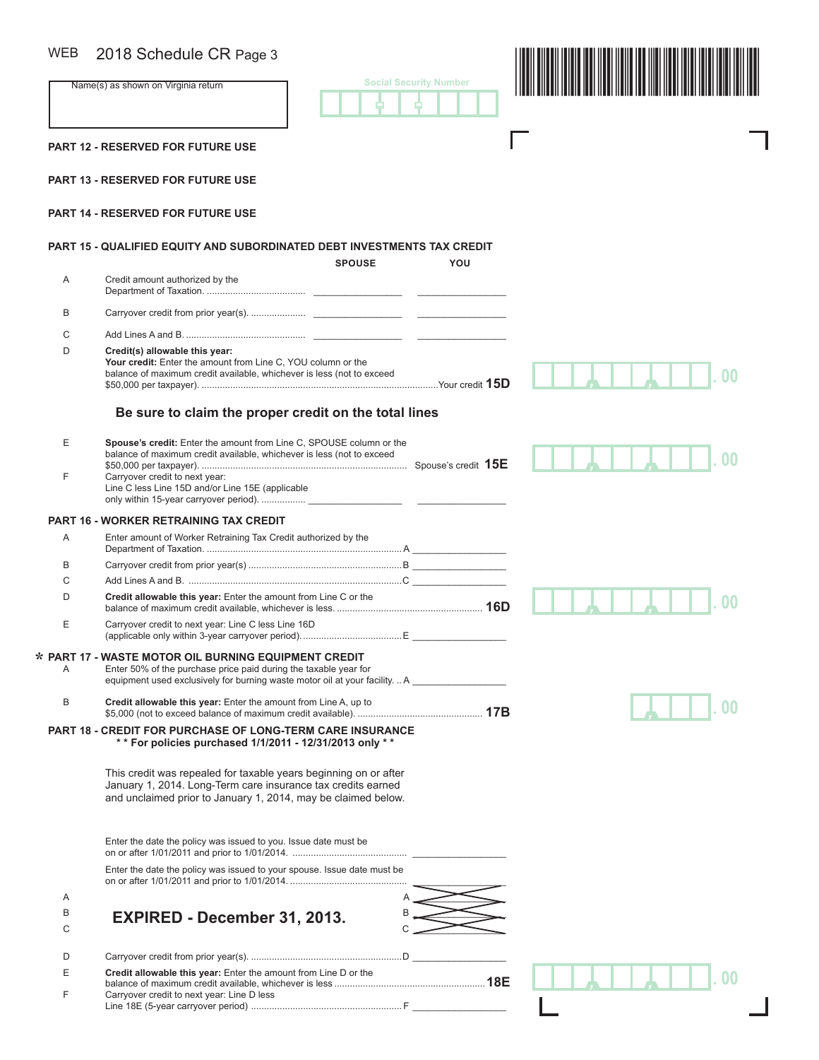## $\overline{M}$

| <b>WEB</b> | 2018 Schedule CR Page 3                                                                                                                                                                                                            |                               |
|------------|------------------------------------------------------------------------------------------------------------------------------------------------------------------------------------------------------------------------------------|-------------------------------|
|            | Name(s) as shown on Virginia return                                                                                                                                                                                                | <b>Social Security Number</b> |
|            | <b>PART 12 - RESERVED FOR FUTURE USE</b>                                                                                                                                                                                           |                               |
|            | <b>PART 13 - RESERVED FOR FUTURE USE</b>                                                                                                                                                                                           |                               |
|            | PART 14 - RESERVED FOR FUTURE USE                                                                                                                                                                                                  |                               |
|            | <b>PART 15 - QUALIFIED EQUITY AND SUBORDINATED DEBT INVESTMENTS TAX CREDIT</b><br><b>SPOUSE</b>                                                                                                                                    | YOU                           |
| A          | Credit amount authorized by the                                                                                                                                                                                                    |                               |
| B          |                                                                                                                                                                                                                                    |                               |
| С          |                                                                                                                                                                                                                                    |                               |
| D          | Credit(s) allowable this year:<br>Your credit: Enter the amount from Line C, YOU column or the<br>balance of maximum credit available, whichever is less (not to exceed                                                            |                               |
|            | Be sure to claim the proper credit on the total lines                                                                                                                                                                              |                               |
| Ε<br>F     | Spouse's credit: Enter the amount from Line C, SPOUSE column or the<br>balance of maximum credit available, whichever is less (not to exceed<br>Carryover credit to next year:<br>Line C less Line 15D and/or Line 15E (applicable | nn                            |
|            |                                                                                                                                                                                                                                    |                               |
|            | <b>PART 16 - WORKER RETRAINING TAX CREDIT</b>                                                                                                                                                                                      |                               |
| Α          | Enter amount of Worker Retraining Tax Credit authorized by the                                                                                                                                                                     |                               |
| В          |                                                                                                                                                                                                                                    |                               |
| С          |                                                                                                                                                                                                                                    |                               |
| D          | Credit allowable this year: Enter the amount from Line C or the                                                                                                                                                                    |                               |
| Е          | Carryover credit to next year: Line C less Line 16D                                                                                                                                                                                |                               |
| Α          | * PART 17 - WASTE MOTOR OIL BURNING EQUIPMENT CREDIT<br>Enter 50% of the purchase price paid during the taxable year for<br>equipment used exclusively for burning waste motor oil at your facility.  A                            |                               |
| B          | Credit allowable this year: Enter the amount from Line A, up to                                                                                                                                                                    |                               |
|            | PART 18 - CREDIT FOR PURCHASE OF LONG-TERM CARE INSURANCE<br>** For policies purchased 1/1/2011 - 12/31/2013 only **                                                                                                               |                               |
|            | This credit was repealed for taxable years beginning on or after<br>January 1, 2014. Long-Term care insurance tax credits earned<br>and unclaimed prior to January 1, 2014, may be claimed below.                                  |                               |
|            | Enter the date the policy was issued to you. Issue date must be                                                                                                                                                                    |                               |
|            | Enter the date the policy was issued to your spouse. Issue date must be                                                                                                                                                            |                               |
| Α          |                                                                                                                                                                                                                                    |                               |
| В<br>С     | EXPIRED - December 31, 2013.                                                                                                                                                                                                       |                               |
| D          |                                                                                                                                                                                                                                    |                               |
| Е<br>F     | Credit allowable this year: Enter the amount from Line D or the<br>Carryover credit to next year: Line D less                                                                                                                      |                               |
|            |                                                                                                                                                                                                                                    |                               |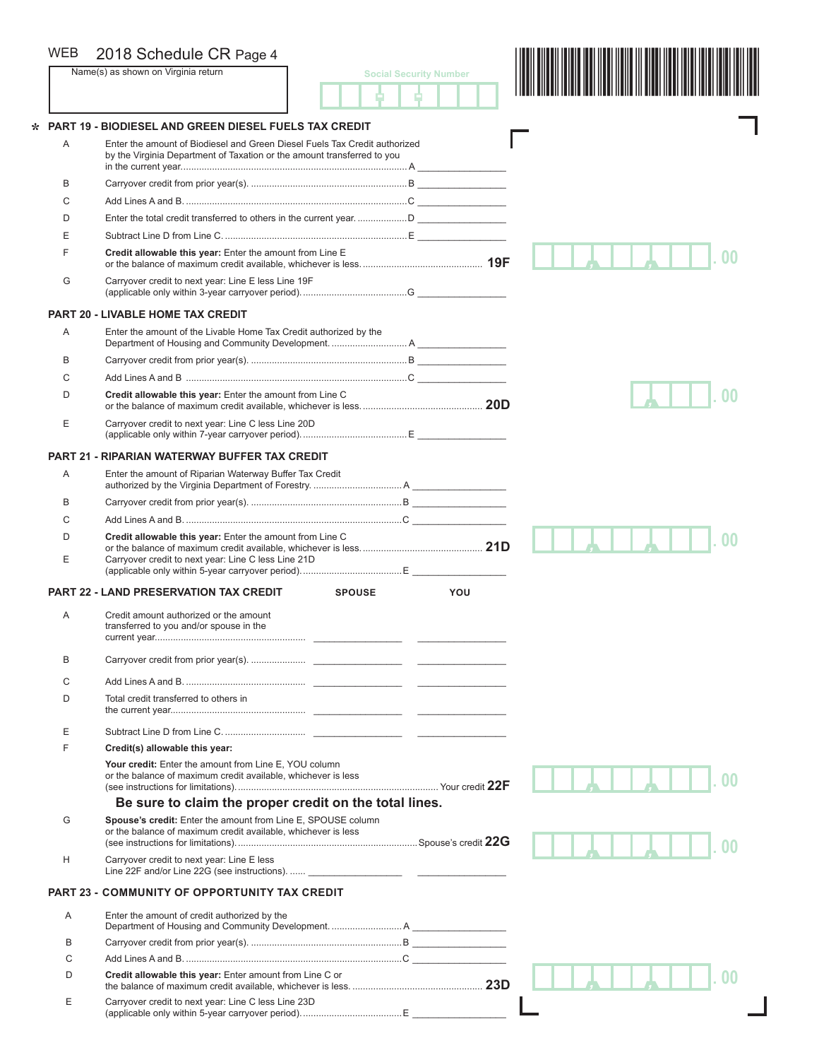| <b>WEB</b> | 2018 Schedule CR Page 4                                                                                                                               |                               |  |
|------------|-------------------------------------------------------------------------------------------------------------------------------------------------------|-------------------------------|--|
|            | Name(s) as shown on Virginia return                                                                                                                   | <b>Social Security Number</b> |  |
|            |                                                                                                                                                       |                               |  |
|            |                                                                                                                                                       |                               |  |
|            | PART 19 - BIODIESEL AND GREEN DIESEL FUELS TAX CREDIT                                                                                                 |                               |  |
| A          | Enter the amount of Biodiesel and Green Diesel Fuels Tax Credit authorized<br>by the Virginia Department of Taxation or the amount transferred to you |                               |  |
| B          |                                                                                                                                                       |                               |  |
| C          |                                                                                                                                                       |                               |  |
| D          |                                                                                                                                                       |                               |  |
| E          |                                                                                                                                                       |                               |  |
| F          | Credit allowable this year: Enter the amount from Line E                                                                                              |                               |  |
|            |                                                                                                                                                       |                               |  |
| G          | Carryover credit to next year: Line E less Line 19F                                                                                                   |                               |  |
|            | <b>PART 20 - LIVABLE HOME TAX CREDIT</b>                                                                                                              |                               |  |
| Α          | Enter the amount of the Livable Home Tax Credit authorized by the                                                                                     |                               |  |
| B          |                                                                                                                                                       |                               |  |
| C          |                                                                                                                                                       |                               |  |
| D          | Credit allowable this year: Enter the amount from Line C                                                                                              |                               |  |
| Ε          | Carryover credit to next year: Line C less Line 20D                                                                                                   |                               |  |
|            |                                                                                                                                                       |                               |  |
|            | <b>PART 21 - RIPARIAN WATERWAY BUFFER TAX CREDIT</b>                                                                                                  |                               |  |
| A          | Enter the amount of Riparian Waterway Buffer Tax Credit                                                                                               |                               |  |
| B          |                                                                                                                                                       |                               |  |
| C          |                                                                                                                                                       |                               |  |
| D          | Credit allowable this year: Enter the amount from Line C                                                                                              |                               |  |
| E          | Carryover credit to next year: Line C less Line 21D                                                                                                   |                               |  |
|            | <b>PART 22 - LAND PRESERVATION TAX CREDIT</b><br><b>SPOUSE</b>                                                                                        | YOU                           |  |
| Α          | Credit amount authorized or the amount<br>transferred to you and/or spouse in the                                                                     |                               |  |
| B          |                                                                                                                                                       |                               |  |
|            |                                                                                                                                                       |                               |  |
| C          |                                                                                                                                                       |                               |  |
| D          | Total credit transferred to others in                                                                                                                 |                               |  |
| Ε          |                                                                                                                                                       |                               |  |
| F          | Credit(s) allowable this year:                                                                                                                        |                               |  |
|            | Your credit: Enter the amount from Line E. YOU column<br>or the balance of maximum credit available, whichever is less                                |                               |  |
|            |                                                                                                                                                       |                               |  |
|            | Be sure to claim the proper credit on the total lines.                                                                                                |                               |  |
| G          | Spouse's credit: Enter the amount from Line E, SPOUSE column<br>or the balance of maximum credit available, whichever is less                         |                               |  |
| Н          | Carryover credit to next year: Line E less                                                                                                            |                               |  |
|            | <b>PART 23 - COMMUNITY OF OPPORTUNITY TAX CREDIT</b>                                                                                                  |                               |  |
| A          | Enter the amount of credit authorized by the                                                                                                          |                               |  |
| B          |                                                                                                                                                       |                               |  |
| C          |                                                                                                                                                       |                               |  |
| D          | Credit allowable this year: Enter amount from Line C or                                                                                               |                               |  |
| Ε          |                                                                                                                                                       |                               |  |
|            | Carryover credit to next year: Line C less Line 23D                                                                                                   |                               |  |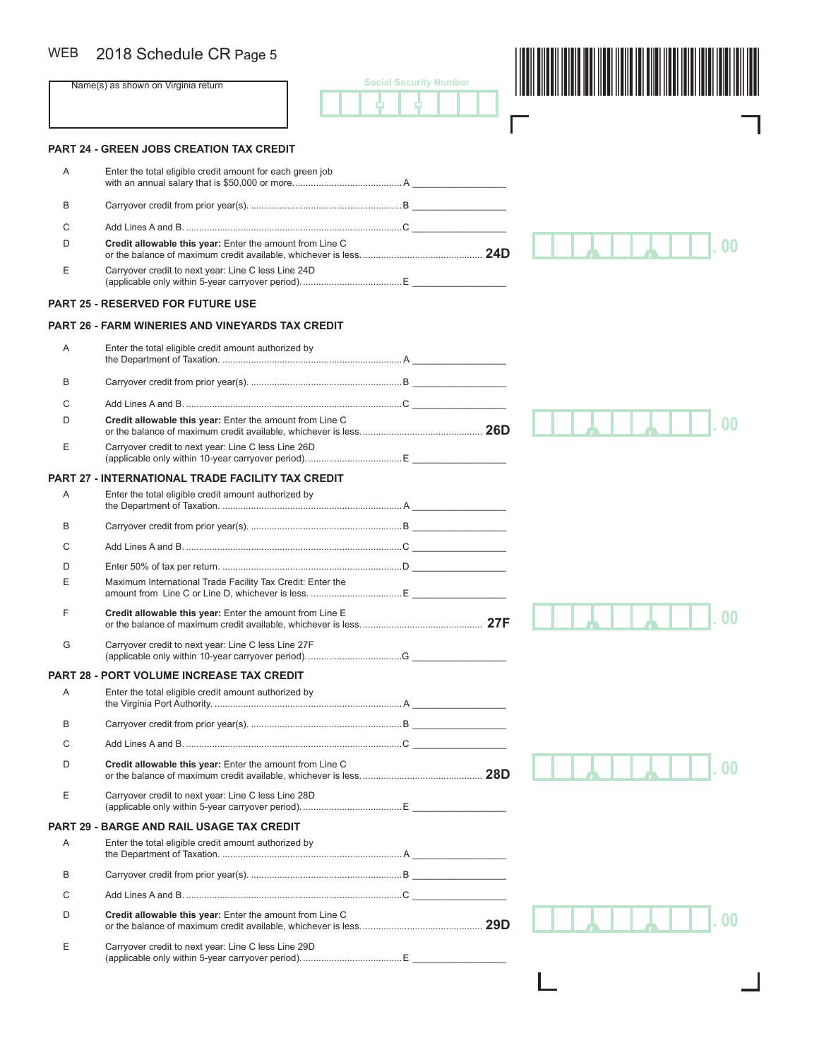## WEB 2018 Schedule CR Page 5

|                | 2018 Schedule CR Page 5                                    |                               |  |
|----------------|------------------------------------------------------------|-------------------------------|--|
|                | Name(s) as shown on Virginia return                        | <b>Social Security Number</b> |  |
|                | <b>PART 24 - GREEN JOBS CREATION TAX CREDIT</b>            |                               |  |
| Α              | Enter the total eligible credit amount for each green job  |                               |  |
| B              |                                                            |                               |  |
| С              |                                                            |                               |  |
| D              | Credit allowable this year: Enter the amount from Line C   |                               |  |
| Ε              | Carryover credit to next year: Line C less Line 24D        |                               |  |
|                | <b>PART 25 - RESERVED FOR FUTURE USE</b>                   |                               |  |
|                | <b>PART 26 - FARM WINERIES AND VINEYARDS TAX CREDIT</b>    |                               |  |
| Α              | Enter the total eligible credit amount authorized by       |                               |  |
| B              |                                                            |                               |  |
| С              |                                                            |                               |  |
| D              | Credit allowable this year: Enter the amount from Line C   |                               |  |
| Ε              | Carryover credit to next year: Line C less Line 26D        |                               |  |
|                | <b>PART 27 - INTERNATIONAL TRADE FACILITY TAX CREDIT</b>   |                               |  |
| Α              | Enter the total eligible credit amount authorized by       |                               |  |
| В              |                                                            |                               |  |
| C              |                                                            |                               |  |
| D              |                                                            |                               |  |
| Ε              | Maximum International Trade Facility Tax Credit: Enter the |                               |  |
| F              | Credit allowable this year: Enter the amount from Line E   |                               |  |
| G              | Carryover credit to next year: Line C less Line 27F        |                               |  |
|                | <b>PART 28 - PORT VOLUME INCREASE TAX CREDIT</b>           |                               |  |
| Α              | Enter the total eligible credit amount authorized by       |                               |  |
| B              |                                                            |                               |  |
| С              |                                                            |                               |  |
| D              | Credit allowable this year: Enter the amount from Line C   |                               |  |
| Ε              | Carryover credit to next year: Line C less Line 28D        |                               |  |
| <b>PART 29</b> | <b>BARGE AND RAIL USAGE TAX CREDIT</b>                     |                               |  |
| Α              | Enter the total eligible credit amount authorized by       |                               |  |
| B              |                                                            |                               |  |
| С              |                                                            |                               |  |
| D              | Credit allowable this year: Enter the amount from Line C   |                               |  |
| Е              | Carryover credit to next year: Line C less Line 29D        |                               |  |

ட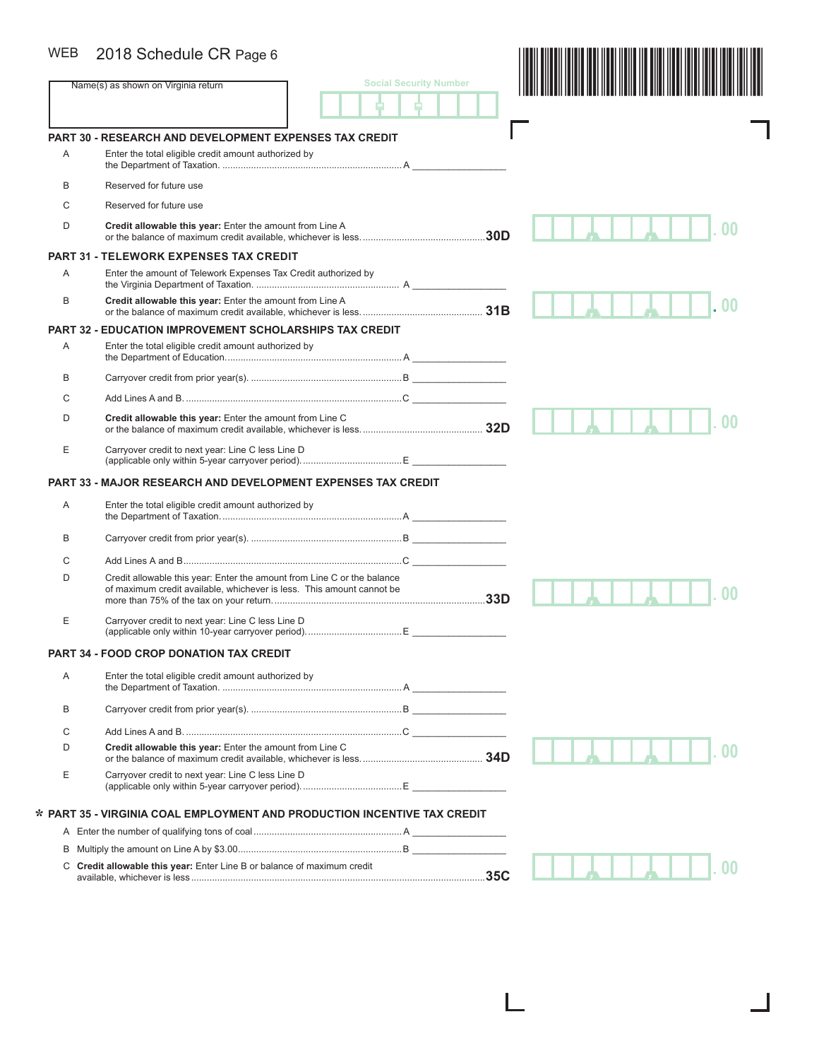### WEB 2018 Schedule CR Page 6

| <b>WEB</b> | 2018 Schedule CR Page 6                                                                                                                          |                               |                |
|------------|--------------------------------------------------------------------------------------------------------------------------------------------------|-------------------------------|----------------|
|            | Name(s) as shown on Virginia return                                                                                                              | <b>Social Security Number</b> |                |
|            |                                                                                                                                                  |                               |                |
|            | <b>PART 30 - RESEARCH AND DEVELOPMENT EXPENSES TAX CREDIT</b>                                                                                    |                               |                |
| Α          | Enter the total eligible credit amount authorized by                                                                                             |                               |                |
| В          | Reserved for future use                                                                                                                          |                               |                |
| C          | Reserved for future use                                                                                                                          |                               |                |
| D          | Credit allowable this year: Enter the amount from Line A                                                                                         | .30D                          |                |
|            | <b>PART 31 - TELEWORK EXPENSES TAX CREDIT</b>                                                                                                    |                               |                |
| Α          | Enter the amount of Telework Expenses Tax Credit authorized by                                                                                   |                               |                |
| В          | Credit allowable this year: Enter the amount from Line A                                                                                         |                               | 0 <sub>0</sub> |
|            | <b>PART 32 - EDUCATION IMPROVEMENT SCHOLARSHIPS TAX CREDIT</b>                                                                                   |                               |                |
| Α          | Enter the total eligible credit amount authorized by                                                                                             |                               |                |
| В          |                                                                                                                                                  |                               |                |
| С          |                                                                                                                                                  |                               |                |
| D          | Credit allowable this year: Enter the amount from Line C                                                                                         |                               |                |
| E          | Carryover credit to next year: Line C less Line D                                                                                                |                               |                |
|            | <b>PART 33 - MAJOR RESEARCH AND DEVELOPMENT EXPENSES TAX CREDIT</b>                                                                              |                               |                |
| Α          | Enter the total eligible credit amount authorized by                                                                                             |                               |                |
| В          |                                                                                                                                                  |                               |                |
| С          |                                                                                                                                                  |                               |                |
| D          | Credit allowable this year: Enter the amount from Line C or the balance<br>of maximum credit available, whichever is less. This amount cannot be |                               |                |
| Е          | Carryover credit to next year: Line C less Line D                                                                                                |                               |                |
|            | <b>PART 34 - FOOD CROP DONATION TAX CREDIT</b>                                                                                                   |                               |                |
| Α          | Enter the total eligible credit amount authorized by                                                                                             |                               |                |
| В          |                                                                                                                                                  |                               |                |
| С          |                                                                                                                                                  |                               |                |
| D          | Credit allowable this year: Enter the amount from Line C                                                                                         |                               |                |
| E          | Carryover credit to next year: Line C less Line D                                                                                                |                               |                |
|            | * PART 35 - VIRGINIA COAL EMPLOYMENT AND PRODUCTION INCENTIVE TAX CREDIT                                                                         |                               |                |
|            |                                                                                                                                                  |                               |                |
| В          |                                                                                                                                                  |                               |                |
|            | C Credit allowable this year: Enter Line B or balance of maximum credit                                                                          |                               |                |

L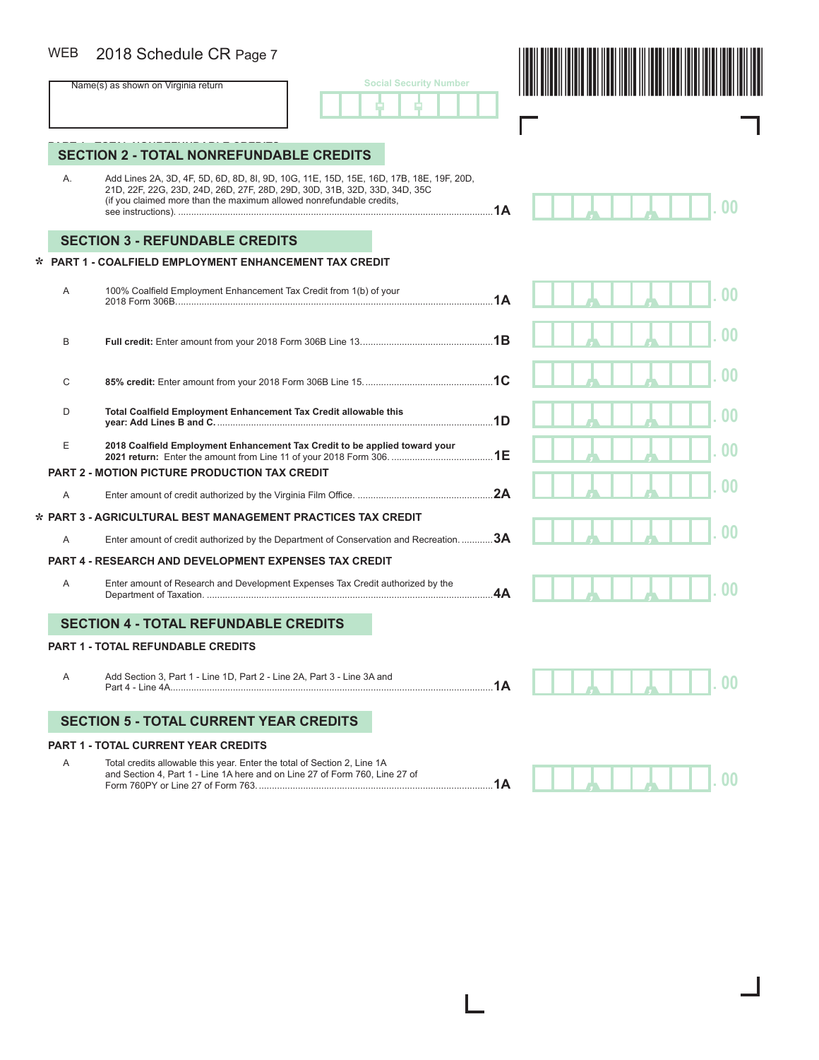#### 2018 Schedule CR Page 7 WEB

| <b>Social Security Number</b> |  |  |  |  |  |
|-------------------------------|--|--|--|--|--|
|                               |  |  |  |  |  |

Г



*, ,* **. 00**

*, ,* **. 00**

# **SECTION 2 - TOTAL NONREFUNDABLE CREDITS**

 A. Add Lines 2A, 3D, 4F, 5D, 6D, 8D, 8I, 9D, 10G, 11E, 15D, 15E, 16D, 17B, 18E, 19F, 20D, 21D, 22F, 22G, 23D, 24D, 26D, 27F, 28D, 29D, 30D, 31B, 32D, 33D, 34D, 35C (if you claimed more than the maximum allowed nonrefundable credits, see instructions). .........................................................................................................................**1A**

### **SECTION 3 - REFUNDABLE CREDITS**

### **PART 1 - COALFIELD EMPLOYMENT ENHANCEMENT TAX CREDIT \***

| A | 100% Coalfield Employment Enhancement Tax Credit from 1(b) of your                     | 1A  |  |  |
|---|----------------------------------------------------------------------------------------|-----|--|--|
| B |                                                                                        |     |  |  |
| C |                                                                                        | .1C |  |  |
| D | Total Coalfield Employment Enhancement Tax Credit allowable this                       | 1D  |  |  |
| E | 2018 Coalfield Employment Enhancement Tax Credit to be applied toward your             | 1E  |  |  |
| A | <b>PART 2 - MOTION PICTURE PRODUCTION TAX CREDIT</b>                                   | 2A  |  |  |
|   | * PART 3 - AGRICULTURAL BEST MANAGEMENT PRACTICES TAX CREDIT                           |     |  |  |
| A | Enter amount of credit authorized by the Department of Conservation and Recreation. 3A |     |  |  |
|   | <b>PART 4 - RESEARCH AND DEVELOPMENT EXPENSES TAX CREDIT</b>                           |     |  |  |
| A | Enter amount of Research and Development Expenses Tax Credit authorized by the         | 4Α  |  |  |
|   | <b>SECTION 4 - TOTAL REFUNDABLE CREDITS</b>                                            |     |  |  |

#### **PART 1 - TOTAL REFUNDABLE CREDITS**

 A Add Section 3, Part 1 - Line 1D, Part 2 - Line 2A, Part 3 - Line 3A and Part 4 - Line 4A. ...........................................................................................................................**1A**

### **SECTION 5 - TOTAL CURRENT YEAR CREDITS**

#### **PART 1 - TOTAL CURRENT YEAR CREDITS**

 A Total credits allowable this year. Enter the total of Section 2, Line 1A and Section 4, Part 1 - Line 1A here and on Line 27 of Form 760, Line 27 of Form 760PY or Line 27 of Form 763. ..........................................................................................**1A**

*, ,* **. 00**